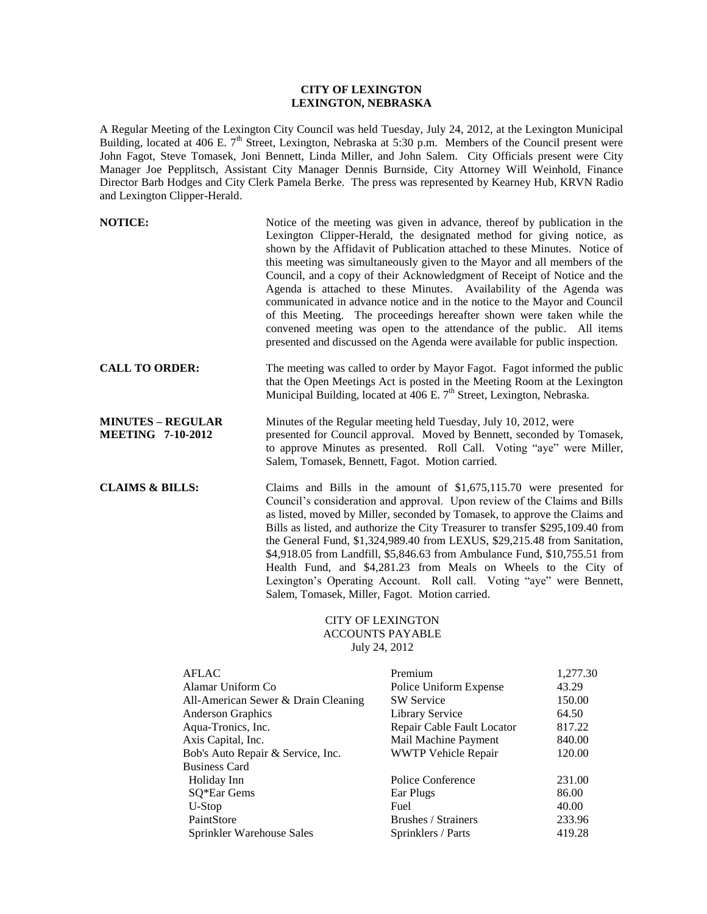## **CITY OF LEXINGTON LEXINGTON, NEBRASKA**

A Regular Meeting of the Lexington City Council was held Tuesday, July 24, 2012, at the Lexington Municipal Building, located at 406 E.  $7<sup>th</sup>$  Street, Lexington, Nebraska at 5:30 p.m. Members of the Council present were John Fagot, Steve Tomasek, Joni Bennett, Linda Miller, and John Salem. City Officials present were City Manager Joe Pepplitsch, Assistant City Manager Dennis Burnside, City Attorney Will Weinhold, Finance Director Barb Hodges and City Clerk Pamela Berke. The press was represented by Kearney Hub, KRVN Radio and Lexington Clipper-Herald.

| <b>NOTICE:</b>                                       | Notice of the meeting was given in advance, thereof by publication in the<br>Lexington Clipper-Herald, the designated method for giving notice, as<br>shown by the Affidavit of Publication attached to these Minutes. Notice of<br>this meeting was simultaneously given to the Mayor and all members of the<br>Council, and a copy of their Acknowledgment of Receipt of Notice and the<br>Agenda is attached to these Minutes. Availability of the Agenda was<br>communicated in advance notice and in the notice to the Mayor and Council<br>of this Meeting. The proceedings hereafter shown were taken while the<br>convened meeting was open to the attendance of the public. All items<br>presented and discussed on the Agenda were available for public inspection. |
|------------------------------------------------------|-------------------------------------------------------------------------------------------------------------------------------------------------------------------------------------------------------------------------------------------------------------------------------------------------------------------------------------------------------------------------------------------------------------------------------------------------------------------------------------------------------------------------------------------------------------------------------------------------------------------------------------------------------------------------------------------------------------------------------------------------------------------------------|
| <b>CALL TO ORDER:</b>                                | The meeting was called to order by Mayor Fagot. Fagot informed the public<br>that the Open Meetings Act is posted in the Meeting Room at the Lexington<br>Municipal Building, located at 406 E. 7 <sup>th</sup> Street, Lexington, Nebraska.                                                                                                                                                                                                                                                                                                                                                                                                                                                                                                                                  |
| <b>MINUTES - REGULAR</b><br><b>MEETING 7-10-2012</b> | Minutes of the Regular meeting held Tuesday, July 10, 2012, were<br>presented for Council approval. Moved by Bennett, seconded by Tomasek,<br>to approve Minutes as presented. Roll Call. Voting "aye" were Miller,<br>Salem, Tomasek, Bennett, Fagot. Motion carried.                                                                                                                                                                                                                                                                                                                                                                                                                                                                                                        |
| <b>CLAIMS &amp; BILLS:</b>                           | Claims and Bills in the amount of $$1,675,115.70$ were presented for<br>Council's consideration and approval. Upon review of the Claims and Bills<br>as listed, moved by Miller, seconded by Tomasek, to approve the Claims and<br>Bills as listed, and authorize the City Treasurer to transfer \$295,109.40 from<br>the General Fund, \$1,324,989.40 from LEXUS, \$29,215.48 from Sanitation,<br>\$4,918.05 from Landfill, \$5,846.63 from Ambulance Fund, \$10,755.51 from<br>Health Fund, and \$4,281.23 from Meals on Wheels to the City of<br>Lexington's Operating Account. Roll call. Voting "aye" were Bennett,<br>Salem, Tomasek, Miller, Fagot. Motion carried.                                                                                                    |

## CITY OF LEXINGTON ACCOUNTS PAYABLE July 24, 2012

| Premium                    | 1,277.30 |
|----------------------------|----------|
| Police Uniform Expense     | 43.29    |
| <b>SW Service</b>          | 150.00   |
| <b>Library Service</b>     | 64.50    |
| Repair Cable Fault Locator | 817.22   |
| Mail Machine Payment       | 840.00   |
| <b>WWTP Vehicle Repair</b> | 120.00   |
|                            |          |
| Police Conference          | 231.00   |
| Ear Plugs                  | 86.00    |
| Fuel                       | 40.00    |
| Brushes / Strainers        | 233.96   |
| Sprinklers / Parts         | 419.28   |
|                            |          |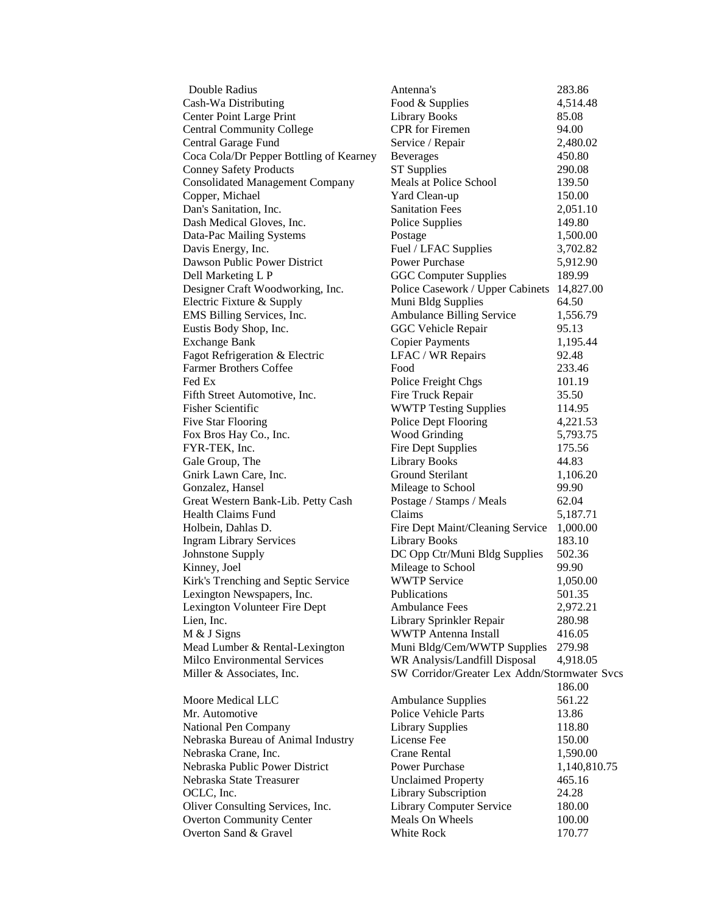| Double Radius                           | Antenna's                                    | 283.86       |
|-----------------------------------------|----------------------------------------------|--------------|
| Cash-Wa Distributing                    | Food & Supplies                              | 4,514.48     |
| <b>Center Point Large Print</b>         | <b>Library Books</b>                         | 85.08        |
| <b>Central Community College</b>        | <b>CPR</b> for Firemen                       | 94.00        |
| Central Garage Fund                     | Service / Repair                             | 2,480.02     |
| Coca Cola/Dr Pepper Bottling of Kearney | <b>Beverages</b>                             | 450.80       |
| <b>Conney Safety Products</b>           | <b>ST Supplies</b>                           | 290.08       |
| <b>Consolidated Management Company</b>  | Meals at Police School                       | 139.50       |
| Copper, Michael                         | Yard Clean-up                                | 150.00       |
| Dan's Sanitation, Inc.                  | <b>Sanitation Fees</b>                       | 2,051.10     |
| Dash Medical Gloves, Inc.               | Police Supplies                              | 149.80       |
| Data-Pac Mailing Systems                | Postage                                      | 1,500.00     |
| Davis Energy, Inc.                      | Fuel / LFAC Supplies                         | 3,702.82     |
| Dawson Public Power District            | <b>Power Purchase</b>                        | 5,912.90     |
| Dell Marketing L P                      | <b>GGC Computer Supplies</b>                 | 189.99       |
| Designer Craft Woodworking, Inc.        | Police Casework / Upper Cabinets             | 14,827.00    |
| Electric Fixture & Supply               | Muni Bldg Supplies                           | 64.50        |
| EMS Billing Services, Inc.              | Ambulance Billing Service                    | 1,556.79     |
| Eustis Body Shop, Inc.                  | <b>GGC Vehicle Repair</b>                    | 95.13        |
| <b>Exchange Bank</b>                    | <b>Copier Payments</b>                       | 1,195.44     |
| Fagot Refrigeration & Electric          | LFAC / WR Repairs                            | 92.48        |
| <b>Farmer Brothers Coffee</b>           | Food                                         | 233.46       |
| Fed Ex                                  | Police Freight Chgs                          | 101.19       |
| Fifth Street Automotive, Inc.           | Fire Truck Repair                            | 35.50        |
| Fisher Scientific                       | <b>WWTP Testing Supplies</b>                 | 114.95       |
| <b>Five Star Flooring</b>               | Police Dept Flooring                         | 4,221.53     |
| Fox Bros Hay Co., Inc.                  | <b>Wood Grinding</b>                         | 5,793.75     |
| FYR-TEK, Inc.                           | <b>Fire Dept Supplies</b>                    | 175.56       |
| Gale Group, The                         | <b>Library Books</b>                         | 44.83        |
| Gnirk Lawn Care, Inc.                   | Ground Sterilant                             | 1,106.20     |
| Gonzalez, Hansel                        | Mileage to School                            | 99.90        |
| Great Western Bank-Lib. Petty Cash      | Postage / Stamps / Meals                     | 62.04        |
| <b>Health Claims Fund</b>               | Claims                                       | 5,187.71     |
| Holbein, Dahlas D.                      | Fire Dept Maint/Cleaning Service             | 1,000.00     |
| <b>Ingram Library Services</b>          | <b>Library Books</b>                         | 183.10       |
| Johnstone Supply                        | DC Opp Ctr/Muni Bldg Supplies                | 502.36       |
| Kinney, Joel                            | Mileage to School                            | 99.90        |
| Kirk's Trenching and Septic Service     | <b>WWTP Service</b>                          | 1,050.00     |
| Lexington Newspapers, Inc.              | Publications                                 | 501.35       |
| Lexington Volunteer Fire Dept           | <b>Ambulance Fees</b>                        | 2,972.21     |
| Lien, Inc.                              | Library Sprinkler Repair                     | 280.98       |
| M & J Signs                             | <b>WWTP Antenna Install</b>                  | 416.05       |
| Mead Lumber & Rental-Lexington          | Muni Bldg/Cem/WWTP Supplies                  | 279.98       |
| Milco Environmental Services            | WR Analysis/Landfill Disposal                | 4,918.05     |
| Miller & Associates, Inc.               | SW Corridor/Greater Lex Addn/Stormwater Svcs |              |
|                                         |                                              | 186.00       |
| Moore Medical LLC                       | <b>Ambulance Supplies</b>                    | 561.22       |
| Mr. Automotive                          | <b>Police Vehicle Parts</b>                  | 13.86        |
| National Pen Company                    | <b>Library Supplies</b>                      | 118.80       |
| Nebraska Bureau of Animal Industry      | License Fee                                  | 150.00       |
| Nebraska Crane, Inc.                    | Crane Rental                                 | 1,590.00     |
| Nebraska Public Power District          | Power Purchase                               | 1,140,810.75 |
| Nebraska State Treasurer                | <b>Unclaimed Property</b>                    | 465.16       |
| OCLC, Inc.                              | Library Subscription                         | 24.28        |
| Oliver Consulting Services, Inc.        | <b>Library Computer Service</b>              | 180.00       |
| <b>Overton Community Center</b>         | Meals On Wheels                              | 100.00       |
| Overton Sand & Gravel                   | White Rock                                   | 170.77       |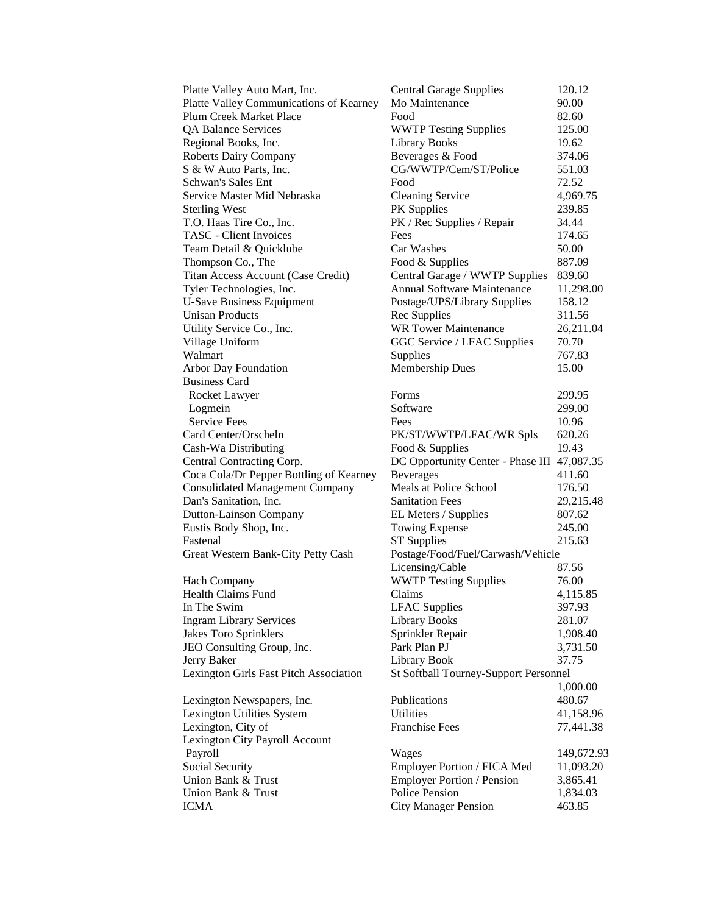| Platte Valley Auto Mart, Inc.           | <b>Central Garage Supplies</b>              | 120.12     |
|-----------------------------------------|---------------------------------------------|------------|
| Platte Valley Communications of Kearney | Mo Maintenance                              | 90.00      |
| <b>Plum Creek Market Place</b>          | Food                                        | 82.60      |
| <b>QA Balance Services</b>              | <b>WWTP Testing Supplies</b>                | 125.00     |
| Regional Books, Inc.                    | <b>Library Books</b>                        | 19.62      |
| <b>Roberts Dairy Company</b>            | Beverages & Food                            | 374.06     |
| S & W Auto Parts, Inc.                  | CG/WWTP/Cem/ST/Police                       | 551.03     |
| Schwan's Sales Ent                      | Food                                        | 72.52      |
| Service Master Mid Nebraska             | <b>Cleaning Service</b>                     | 4,969.75   |
| <b>Sterling West</b>                    | PK Supplies                                 | 239.85     |
| T.O. Haas Tire Co., Inc.                | PK / Rec Supplies / Repair                  | 34.44      |
| <b>TASC</b> - Client Invoices           | Fees                                        | 174.65     |
| Team Detail & Quicklube                 | Car Washes                                  | 50.00      |
| Thompson Co., The                       | Food & Supplies                             | 887.09     |
| Titan Access Account (Case Credit)      | Central Garage / WWTP Supplies              | 839.60     |
| Tyler Technologies, Inc.                | <b>Annual Software Maintenance</b>          | 11,298.00  |
| <b>U-Save Business Equipment</b>        | Postage/UPS/Library Supplies                | 158.12     |
| <b>Unisan Products</b>                  | Rec Supplies                                | 311.56     |
| Utility Service Co., Inc.               | <b>WR Tower Maintenance</b>                 | 26,211.04  |
| Village Uniform                         | GGC Service / LFAC Supplies                 | 70.70      |
| Walmart                                 | Supplies                                    | 767.83     |
| Arbor Day Foundation                    | Membership Dues                             | 15.00      |
| <b>Business Card</b>                    |                                             |            |
| Rocket Lawyer                           | Forms                                       | 299.95     |
| Logmein                                 | Software                                    | 299.00     |
| <b>Service Fees</b>                     | Fees                                        | 10.96      |
| Card Center/Orscheln                    | PK/ST/WWTP/LFAC/WR Spls                     | 620.26     |
| Cash-Wa Distributing                    | Food & Supplies                             | 19.43      |
| Central Contracting Corp.               | DC Opportunity Center - Phase III 47,087.35 |            |
| Coca Cola/Dr Pepper Bottling of Kearney | <b>Beverages</b>                            | 411.60     |
| <b>Consolidated Management Company</b>  | Meals at Police School                      | 176.50     |
| Dan's Sanitation, Inc.                  | <b>Sanitation Fees</b>                      | 29,215.48  |
| Dutton-Lainson Company                  | EL Meters / Supplies                        | 807.62     |
| Eustis Body Shop, Inc.                  | <b>Towing Expense</b>                       | 245.00     |
| Fastenal                                | <b>ST Supplies</b>                          | 215.63     |
| Great Western Bank-City Petty Cash      | Postage/Food/Fuel/Carwash/Vehicle           |            |
|                                         | Licensing/Cable                             | 87.56      |
| <b>Hach Company</b>                     | <b>WWTP Testing Supplies</b>                | 76.00      |
| <b>Health Claims Fund</b>               | Claims                                      | 4,115.85   |
| In The Swim                             | <b>LFAC</b> Supplies                        | 397.93     |
| <b>Ingram Library Services</b>          | <b>Library Books</b>                        | 281.07     |
| Jakes Toro Sprinklers                   | Sprinkler Repair                            | 1,908.40   |
| JEO Consulting Group, Inc.              | Park Plan PJ                                | 3,731.50   |
| Jerry Baker                             | Library Book                                | 37.75      |
| Lexington Girls Fast Pitch Association  | St Softball Tourney-Support Personnel       |            |
|                                         |                                             | 1,000.00   |
| Lexington Newspapers, Inc.              | Publications                                | 480.67     |
| Lexington Utilities System              | Utilities                                   | 41,158.96  |
| Lexington, City of                      | <b>Franchise Fees</b>                       | 77,441.38  |
| Lexington City Payroll Account          |                                             |            |
| Payroll                                 | Wages                                       | 149,672.93 |
| Social Security                         | Employer Portion / FICA Med                 | 11,093.20  |
| Union Bank & Trust                      | <b>Employer Portion / Pension</b>           | 3,865.41   |
| Union Bank & Trust                      | Police Pension                              | 1,834.03   |
| <b>ICMA</b>                             | <b>City Manager Pension</b>                 | 463.85     |
|                                         |                                             |            |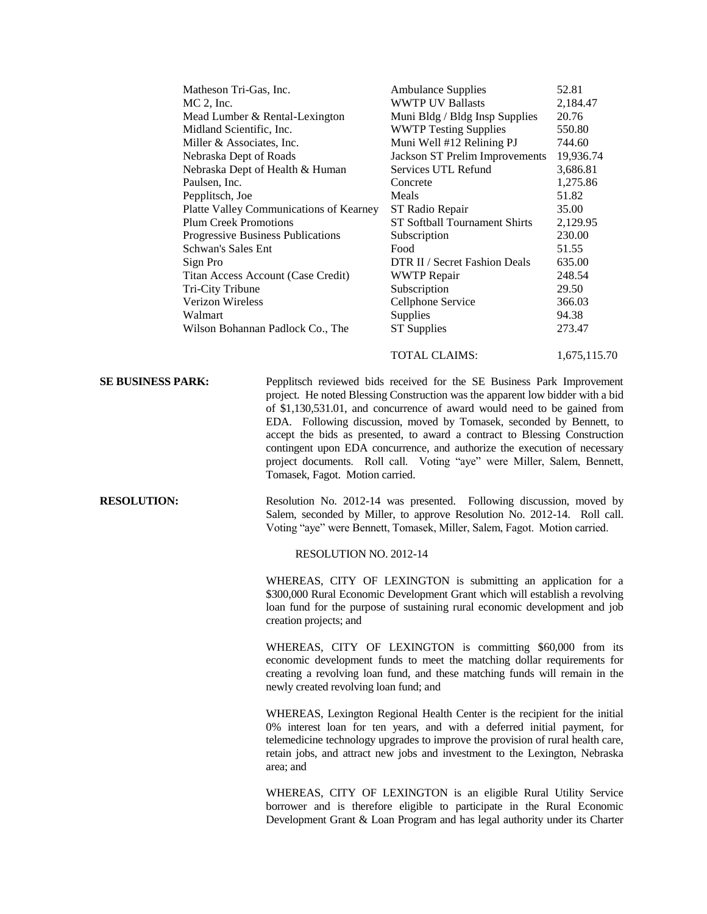| Matheson Tri-Gas, Inc.                  | <b>Ambulance Supplies</b>      | 52.81     |
|-----------------------------------------|--------------------------------|-----------|
| $MC$ 2, Inc.                            | <b>WWTP UV Ballasts</b>        | 2,184.47  |
| Mead Lumber & Rental-Lexington          | Muni Bldg / Bldg Insp Supplies | 20.76     |
| Midland Scientific, Inc.                | <b>WWTP Testing Supplies</b>   | 550.80    |
| Miller & Associates, Inc.               | Muni Well #12 Relining PJ      | 744.60    |
| Nebraska Dept of Roads                  | Jackson ST Prelim Improvements | 19,936.74 |
| Nebraska Dept of Health & Human         | Services UTL Refund            | 3,686.81  |
| Paulsen, Inc.                           | Concrete                       | 1,275.86  |
| Pepplitsch, Joe                         | Meals                          | 51.82     |
| Platte Valley Communications of Kearney | ST Radio Repair                | 35.00     |
| <b>Plum Creek Promotions</b>            | ST Softball Tournament Shirts  | 2,129.95  |
| Progressive Business Publications       | Subscription                   | 230.00    |
| Schwan's Sales Ent                      | Food                           | 51.55     |
| Sign Pro                                | DTR II / Secret Fashion Deals  | 635.00    |
| Titan Access Account (Case Credit)      | <b>WWTP Repair</b>             | 248.54    |
| Tri-City Tribune                        | Subscription                   | 29.50     |
| Verizon Wireless                        | Cellphone Service              | 366.03    |
| Walmart                                 | Supplies                       | 94.38     |
| Wilson Bohannan Padlock Co., The        | <b>ST</b> Supplies             | 273.47    |
|                                         |                                |           |

**SE BUSINESS PARK:** Pepplitsch reviewed bids received for the SE Business Park Improvement project. He noted Blessing Construction was the apparent low bidder with a bid of \$1,130,531.01, and concurrence of award would need to be gained from EDA. Following discussion, moved by Tomasek, seconded by Bennett, to accept the bids as presented, to award a contract to Blessing Construction contingent upon EDA concurrence, and authorize the execution of necessary project documents. Roll call. Voting "aye" were Miller, Salem, Bennett, Tomasek, Fagot. Motion carried.

**RESOLUTION:** Resolution No. 2012-14 was presented. Following discussion, moved by Salem, seconded by Miller, to approve Resolution No. 2012-14. Roll call. Voting "aye" were Bennett, Tomasek, Miller, Salem, Fagot. Motion carried.

RESOLUTION NO. 2012-14

WHEREAS, CITY OF LEXINGTON is submitting an application for a \$300,000 Rural Economic Development Grant which will establish a revolving loan fund for the purpose of sustaining rural economic development and job creation projects; and

TOTAL CLAIMS: 1,675,115.70

WHEREAS, CITY OF LEXINGTON is committing \$60,000 from its economic development funds to meet the matching dollar requirements for creating a revolving loan fund, and these matching funds will remain in the newly created revolving loan fund; and

WHEREAS, Lexington Regional Health Center is the recipient for the initial 0% interest loan for ten years, and with a deferred initial payment, for telemedicine technology upgrades to improve the provision of rural health care, retain jobs, and attract new jobs and investment to the Lexington, Nebraska area; and

WHEREAS, CITY OF LEXINGTON is an eligible Rural Utility Service borrower and is therefore eligible to participate in the Rural Economic Development Grant & Loan Program and has legal authority under its Charter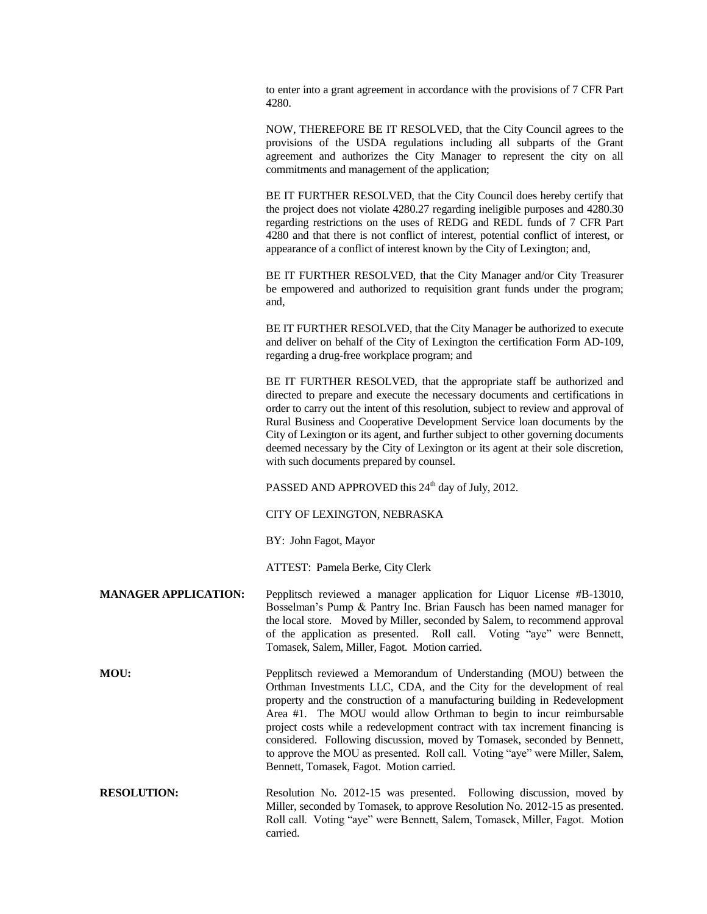to enter into a grant agreement in accordance with the provisions of 7 CFR Part 4280.

NOW, THEREFORE BE IT RESOLVED, that the City Council agrees to the provisions of the USDA regulations including all subparts of the Grant agreement and authorizes the City Manager to represent the city on all commitments and management of the application;

BE IT FURTHER RESOLVED, that the City Council does hereby certify that the project does not violate 4280.27 regarding ineligible purposes and 4280.30 regarding restrictions on the uses of REDG and REDL funds of 7 CFR Part 4280 and that there is not conflict of interest, potential conflict of interest, or appearance of a conflict of interest known by the City of Lexington; and,

BE IT FURTHER RESOLVED, that the City Manager and/or City Treasurer be empowered and authorized to requisition grant funds under the program; and,

BE IT FURTHER RESOLVED, that the City Manager be authorized to execute and deliver on behalf of the City of Lexington the certification Form AD-109, regarding a drug-free workplace program; and

BE IT FURTHER RESOLVED, that the appropriate staff be authorized and directed to prepare and execute the necessary documents and certifications in order to carry out the intent of this resolution, subject to review and approval of Rural Business and Cooperative Development Service loan documents by the City of Lexington or its agent, and further subject to other governing documents deemed necessary by the City of Lexington or its agent at their sole discretion, with such documents prepared by counsel.

PASSED AND APPROVED this  $24<sup>th</sup>$  day of July, 2012.

CITY OF LEXINGTON, NEBRASKA

BY: John Fagot, Mayor

ATTEST: Pamela Berke, City Clerk

**MANAGER APPLICATION:** Pepplitsch reviewed a manager application for Liquor License #B-13010, Bosselman's Pump & Pantry Inc. Brian Fausch has been named manager for the local store. Moved by Miller, seconded by Salem, to recommend approval of the application as presented. Roll call. Voting "aye" were Bennett, Tomasek, Salem, Miller, Fagot. Motion carried.

**MOU:** Pepplitsch reviewed a Memorandum of Understanding (MOU) between the Orthman Investments LLC, CDA, and the City for the development of real property and the construction of a manufacturing building in Redevelopment Area #1. The MOU would allow Orthman to begin to incur reimbursable project costs while a redevelopment contract with tax increment financing is considered. Following discussion, moved by Tomasek, seconded by Bennett, to approve the MOU as presented. Roll call. Voting "aye" were Miller, Salem, Bennett, Tomasek, Fagot. Motion carried.

**RESOLUTION:** Resolution No. 2012-15 was presented. Following discussion, moved by Miller, seconded by Tomasek, to approve Resolution No. 2012-15 as presented. Roll call. Voting "aye" were Bennett, Salem, Tomasek, Miller, Fagot. Motion carried.